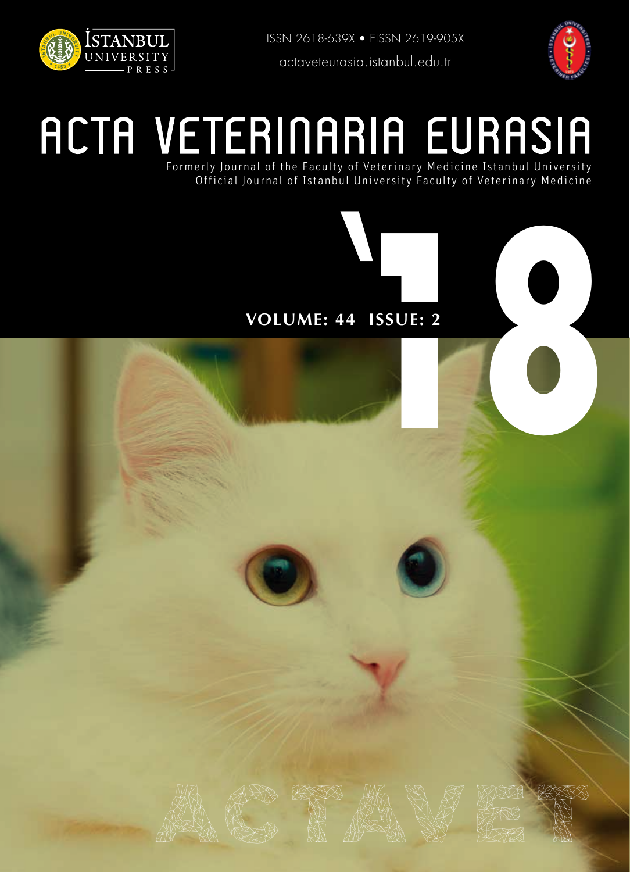

ISSN 2618-639X • EISSN 2619-905X actaveteurasia.istanbul.edu.tr



# **PRESS**<br> **ACTA VETERINARIA EURASIA** Formerly Journal of the Faculty of Veterinary Medicine Istanbul University

Official Journal of Istanbul University Faculty of Veterinary Medicine

## **VOLUME: 44 ISSUE: 2**

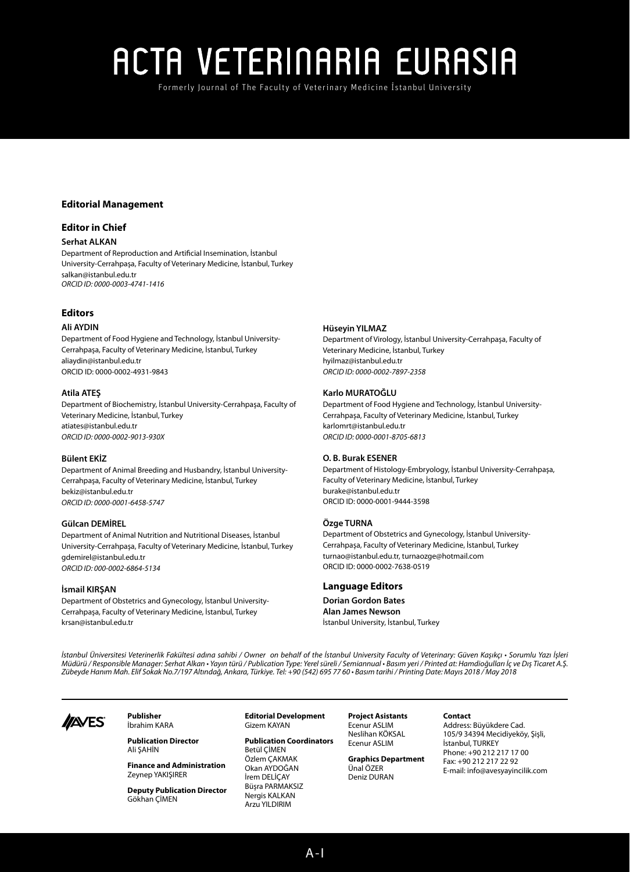Formerly Journal of The Faculty of Veterinary Medicine Istanbul University

## **Editorial Management**

## **Editor in Chief**

## **Serhat ALKAN**

Department of Reproduction and Artificial Insemination, İstanbul University-Cerrahpaşa, Faculty of Veterinary Medicine, İstanbul, Turkey salkan@istanbul.edu.tr *ORCID ID: 0000-0003-4741-1416*

## **Editors**

### **Ali AYDIN**

Department of Food Hygiene and Technology, İstanbul University-Cerrahpaşa, Faculty of Veterinary Medicine, İstanbul, Turkey aliaydin@istanbul.edu.tr ORCID ID: 0000-0002-4931-9843

## **Atila ATEŞ**

Department of Biochemistry, İstanbul University-Cerrahpaşa, Faculty of Veterinary Medicine, İstanbul, Turkey atiates@istanbul.edu.tr *ORCID ID: 0000-0002-9013-930X* 

## **Bülent EKİZ**

Department of Animal Breeding and Husbandry, İstanbul University-Cerrahpaşa, Faculty of Veterinary Medicine, İstanbul, Turkey bekiz@istanbul.edu.tr *ORCID ID: 0000-0001-6458-5747*

#### **Gülcan DEMİREL**

Department of Animal Nutrition and Nutritional Diseases, İstanbul University-Cerrahpaşa, Faculty of Veterinary Medicine, İstanbul, Turkey gdemirel@istanbul.edu.tr *ORCID ID: 000-0002-6864-5134*

## **İsmail KIRŞAN**

Department of Obstetrics and Gynecology, İstanbul University-Cerrahpaşa, Faculty of Veterinary Medicine, İstanbul, Turkey krsan@istanbul.edu.tr

### **Hüseyin YILMAZ**

Department of Virology, İstanbul University-Cerrahpaşa, Faculty of Veterinary Medicine, İstanbul, Turkey hyilmaz@istanbul.edu.tr *ORCID ID: 0000-0002-7897-2358*

#### **Karlo MURATOĞLU**

Department of Food Hygiene and Technology, İstanbul University-Cerrahpaşa, Faculty of Veterinary Medicine, İstanbul, Turkey karlomrt@istanbul.edu.tr *ORCID ID: 0000-0001-8705-6813*

#### **O. B. Burak ESENER**

Department of Histology-Embryology, İstanbul University-Cerrahpaşa, Faculty of Veterinary Medicine, İstanbul, Turkey burake@istanbul.edu.tr ORCID ID: 0000-0001-9444-3598

#### **Özge TURNA**

Department of Obstetrics and Gynecology, İstanbul University-Cerrahpaşa, Faculty of Veterinary Medicine, İstanbul, Turkey turnao@istanbul.edu.tr, turnaozge@hotmail.com ORCID ID: 0000-0002-7638-0519

## **Language Editors**

**Dorian Gordon Bates Alan James Newson** İstanbul University, İstanbul, Turkey

*İstanbul Üniversitesi Veterinerlik Fakültesi adına sahibi / Owner on behalf of the İstanbul University Faculty of Veterinary: Güven Kaşıkçı • Sorumlu Yazı İşleri Müdürü / Responsible Manager: Serhat Alkan • Yayın türü / Publication Type: Yerel süreli / Semiannual • Basım yeri / Printed at: Hamdioğulları İç ve Dış Ticaret A.Ş. Zübeyde Hanım Mah. Elif Sokak No.7/197 Altındağ, Ankara, Türkiye. Tel: +90 (542) 695 77 60 • Basım tarihi / Printing Date: Mayıs 2018 / May 2018* 



**Publisher** İbrahim KARA

> **Publication Director** Ali ŞAHİN

**Finance and Administration** Zeynep YAKIŞIRER

**Deputy Publication Director** Gökhan ÇİMEN

**Editorial Development** Gizem KAYAN

**Publication Coordinators** Betül ÇİMEN Özlem ÇAKMAK Okan AYDOĞAN İrem DELİÇAY Büşra PARMAKSIZ Nergis KALKAN Arzu YILDIRIM

**Project Asistants** Ecenur ASLIM Neslihan KÖKSAL Ecenur ASLIM

**Graphics Department** Ünal ÖZER Deniz DURAN

#### **Contact**

Address: Büyükdere Cad. 105/9 34394 Mecidiyeköy, Şişli, İstanbul, TURKEY Phone: +90 212 217 17 00 Fax: +90 212 217 22 92 E-mail: info@avesyayincilik.com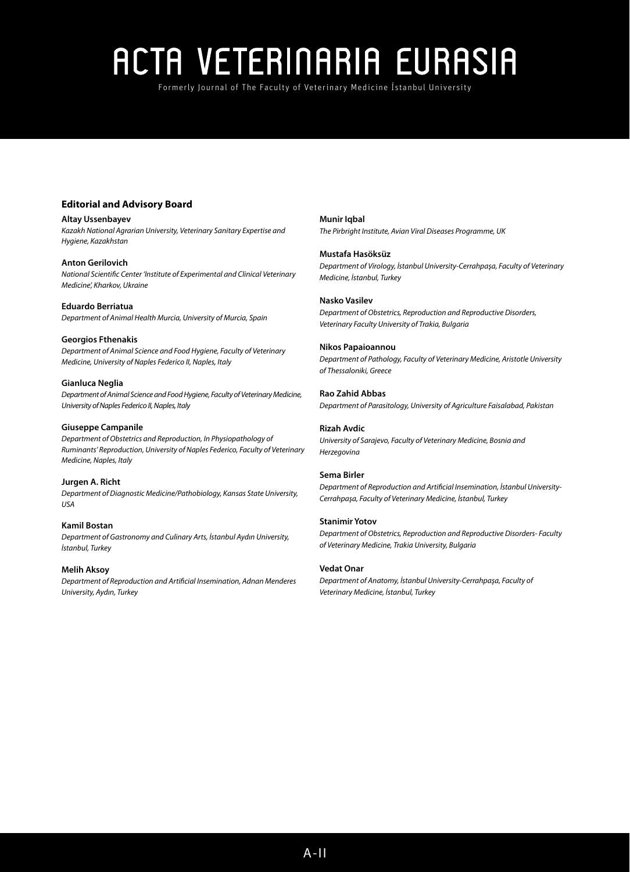Formerly Journal of The Faculty of Veterinary Medicine Istanbul University

## **Editorial and Advisory Board**

**Altay Ussenbayev** *Kazakh National Agrarian University, Veterinary Sanitary Expertise and Hygiene, Kazakhstan*

**Anton Gerilovich** *National Scientific Center 'Institute of Experimental and Clinical Veterinary Medicine', Kharkov, Ukraine*

**Eduardo Berriatua** *Department of Animal Health Murcia, University of Murcia, Spain*

**Georgios Fthenakis** *Department of Animal Science and Food Hygiene, Faculty of Veterinary Medicine, University of Naples Federico II, Naples, Italy*

**Gianluca Neglia** *Department of Animal Science and Food Hygiene, Faculty of Veterinary Medicine, University of Naples Federico II, Naples, Italy*

### **Giuseppe Campanile**

*Department of Obstetrics and Reproduction, In Physiopathology of Ruminants' Reproduction, University of Naples Federico, Faculty of Veterinary Medicine, Naples, Italy*

**Jurgen A. Richt** *Department of Diagnostic Medicine/Pathobiology, Kansas State University, USA*

**Kamil Bostan** *Department of Gastronomy and Culinary Arts, İstanbul Aydın University, İstanbul, Turkey*

**Melih Aksoy** *Department of Reproduction and Artificial Insemination, Adnan Menderes University, Aydın, Turkey*

**Munir Iqbal** *The Pirbright Institute, Avian Viral Diseases Programme, UK*

**Mustafa Hasöksüz** *Department of Virology, İstanbul University-Cerrahpaşa, Faculty of Veterinary Medicine, İstanbul, Turkey*

**Nasko Vasilev** *Department of Obstetrics, Reproduction and Reproductive Disorders, Veterinary Faculty University of Trakia, Bulgaria*

**Nikos Papaioannou** *Department of Pathology, Faculty of Veterinary Medicine, Aristotle University of Thessaloniki, Greece*

**Rao Zahid Abbas** *Department of Parasitology, University of Agriculture Faisalabad, Pakistan*

**Rizah Avdic** *University of Sarajevo, Faculty of Veterinary Medicine, Bosnia and Herzegovina*

## **Sema Birler**

*Department of Reproduction and Artificial Insemination, İstanbul University-Cerrahpaşa, Faculty of Veterinary Medicine, İstanbul, Turkey*

### **Stanimir Yotov**

*Department of Obstetrics, Reproduction and Reproductive Disorders- Faculty of Veterinary Medicine, Trakia University, Bulgaria*

## **Vedat Onar**

*Department of Anatomy, İstanbul University-Cerrahpaşa, Faculty of Veterinary Medicine, İstanbul, Turkey*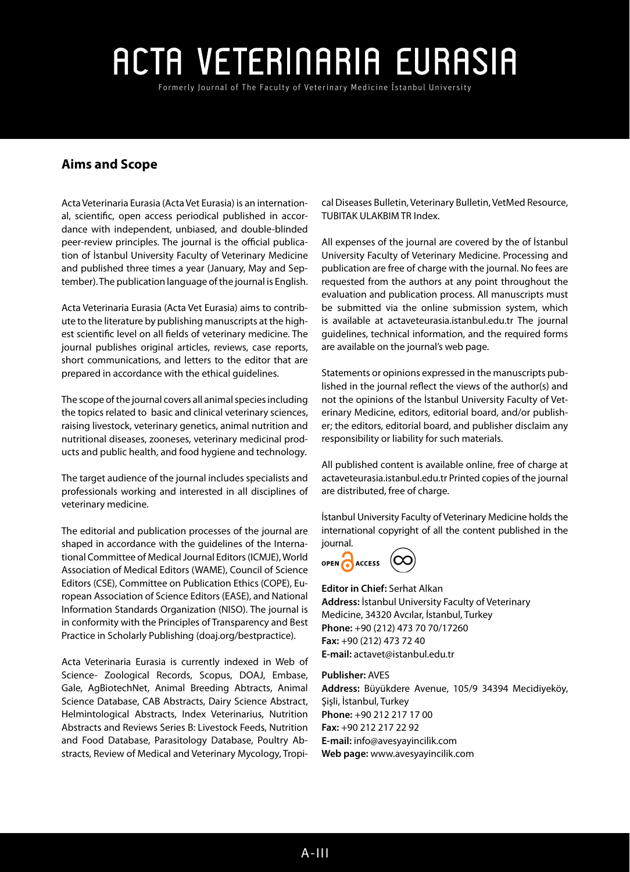Formerly Journal of The Faculty of Veterinary Medicine Istanbul University

## **Aims and Scope**

Acta Veterinaria Eurasia (Acta Vet Eurasia) is an international, scientific, open access periodical published in accordance with independent, unbiased, and double-blinded peer-review principles. The journal is the official publication of İstanbul University Faculty of Veterinary Medicine and published three times a year (January, May and September). The publication language of the journal is English.

Acta Veterinaria Eurasia (Acta Vet Eurasia) aims to contribute to the literature by publishing manuscripts at the highest scientific level on all fields of veterinary medicine. The journal publishes original articles, reviews, case reports, short communications, and letters to the editor that are prepared in accordance with the ethical guidelines.

The scope of the journal covers all animal species including the topics related to basic and clinical veterinary sciences, raising livestock, veterinary genetics, animal nutrition and nutritional diseases, zooneses, veterinary medicinal products and public health, and food hygiene and technology.

The target audience of the journal includes specialists and professionals working and interested in all disciplines of veterinary medicine.

The editorial and publication processes of the journal are shaped in accordance with the guidelines of the International Committee of Medical Journal Editors (ICMJE), World Association of Medical Editors (WAME), Council of Science Editors (CSE), Committee on Publication Ethics (COPE), European Association of Science Editors (EASE), and National Information Standards Organization (NISO). The journal is in conformity with the Principles of Transparency and Best Practice in Scholarly Publishing (doaj.org/bestpractice).

Acta Veterinaria Eurasia is currently indexed in Web of Science- Zoological Records, Scopus, DOAJ, Embase, Gale, AgBiotechNet, Animal Breeding Abtracts, Animal Science Database, CAB Abstracts, Dairy Science Abstract, Helmintological Abstracts, Index Veterinarius, Nutrition Abstracts and Reviews Series B: Livestock Feeds, Nutrition and Food Database, Parasitology Database, Poultry Abstracts, Review of Medical and Veterinary Mycology, Tropical Diseases Bulletin, Veterinary Bulletin, VetMed Resource, TUBITAK ULAKBIM TR Index.

All expenses of the journal are covered by the of İstanbul University Faculty of Veterinary Medicine. Processing and publication are free of charge with the journal. No fees are requested from the authors at any point throughout the evaluation and publication process. All manuscripts must be submitted via the online submission system, which is available at actaveteurasia.istanbul.edu.tr The journal guidelines, technical information, and the required forms are available on the journal's web page.

Statements or opinions expressed in the manuscripts published in the journal reflect the views of the author(s) and not the opinions of the İstanbul University Faculty of Veterinary Medicine, editors, editorial board, and/or publisher; the editors, editorial board, and publisher disclaim any responsibility or liability for such materials.

All published content is available online, free of charge at actaveteurasia.istanbul.edu.tr Printed copies of the journal are distributed, free of charge.

İstanbul University Faculty of Veterinary Medicine holds the international copyright of all the content published in the journal.



## **Editor in Chief:** Serhat Alkan **Address:** İstanbul University Faculty of Veterinary Medicine, 34320 Avcılar, İstanbul, Turkey

**Phone:** +90 (212) 473 70 70/17260 **Fax:** +90 (212) 473 72 40 **E-mail:** actavet@istanbul.edu.tr

## **Publisher:** AVES

**Address:** Büyükdere Avenue, 105/9 34394 Mecidiyeköy, Şişli, İstanbul, Turkey **Phone:** +90 212 217 17 00 **Fax:** +90 212 217 22 92 **E-mail:** info@avesyayincilik.com **Web page:** www.avesyayincilik.com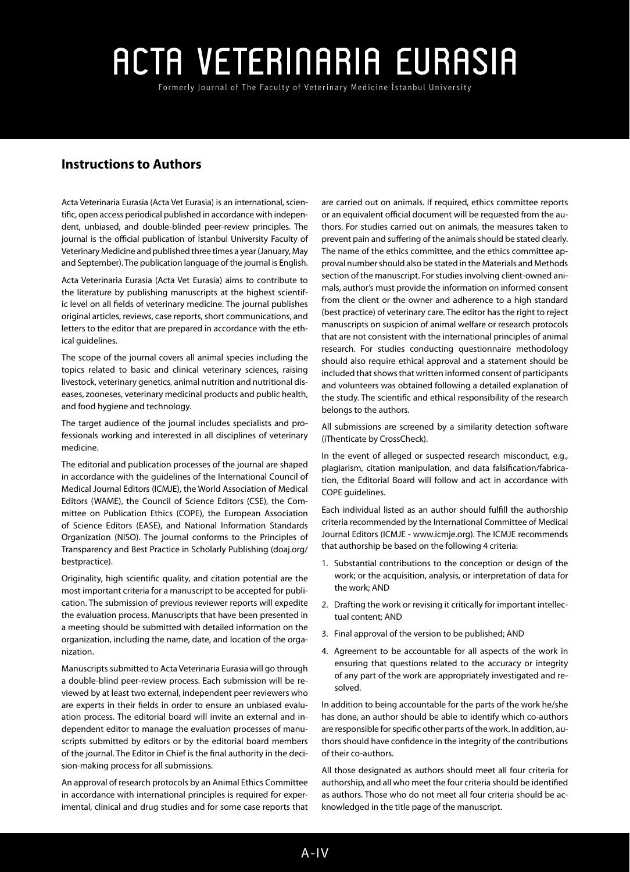Formerly Journal of The Faculty of Veterinary Medicine Istanbul University

## **Instructions to Authors**

Acta Veterinaria Eurasia (Acta Vet Eurasia) is an international, scientific, open access periodical published in accordance with independent, unbiased, and double-blinded peer-review principles. The journal is the official publication of İstanbul University Faculty of Veterinary Medicine and published three times a year (January, May and September). The publication language of the journal is English.

Acta Veterinaria Eurasia (Acta Vet Eurasia) aims to contribute to the literature by publishing manuscripts at the highest scientific level on all fields of veterinary medicine. The journal publishes original articles, reviews, case reports, short communications, and letters to the editor that are prepared in accordance with the ethical guidelines.

The scope of the journal covers all animal species including the topics related to basic and clinical veterinary sciences, raising livestock, veterinary genetics, animal nutrition and nutritional diseases, zooneses, veterinary medicinal products and public health, and food hygiene and technology.

The target audience of the journal includes specialists and professionals working and interested in all disciplines of veterinary medicine.

The editorial and publication processes of the journal are shaped in accordance with the guidelines of the International Council of Medical Journal Editors ([ICMJE](http://www.icmje.org/)), the World Association of Medical Editors ([WAME](http://www.wame.org/)), the Council of Science Editors [\(CSE\)](http://www.councilscienceeditors.org/), the Committee on Publication Ethics [\(COPE](http://publicationethics.org/)), the European Association of Science Editors ([EASE\)](http://www.ease.org.uk/), and National Information Standards Organization ([NISO](http://www.niso.org/home/)). The journal conforms to the Principles of Transparency and Best Practice in Scholarly Publishing (doaj.org/ bestpractice).

Originality, high scientific quality, and citation potential are the most important criteria for a manuscript to be accepted for publication. The submission of previous reviewer reports will expedite the evaluation process. Manuscripts that have been presented in a meeting should be submitted with detailed information on the organization, including the name, date, and location of the organization.

Manuscripts submitted to Acta Veterinaria Eurasia will go through a double-blind peer-review process. Each submission will be reviewed by at least two external, independent peer reviewers who are experts in their fields in order to ensure an unbiased evaluation process. The editorial board will invite an external and independent editor to manage the evaluation processes of manuscripts submitted by editors or by the editorial board members of the journal. The Editor in Chief is the final authority in the decision-making process for all submissions.

An approval of research protocols by an Animal Ethics Committee in accordance with international principles is required for experimental, clinical and drug studies and for some case reports that are carried out on animals. If required, ethics committee reports or an equivalent official document will be requested from the authors. For studies carried out on animals, the measures taken to prevent pain and suffering of the animals should be stated clearly. The name of the ethics committee, and the ethics committee approval number should also be stated in the Materials and Methods section of the manuscript. For studies involving client-owned animals, author's must provide the information on informed consent from the client or the owner and adherence to a high standard (best practice) of veterinary care. The editor has the right to reject manuscripts on suspicion of animal welfare or research protocols that are not consistent with the international principles of animal research. For studies conducting questionnaire methodology should also require ethical approval and a statement should be included that shows that written informed consent of participants and volunteers was obtained following a detailed explanation of the study. The scientific and ethical responsibility of the research belongs to the authors.

All submissions are screened by a similarity detection software (iThenticate by CrossCheck).

In the event of alleged or suspected research misconduct, e.g., plagiarism, citation manipulation, and data falsification/fabrication, the Editorial Board will follow and act in accordance with COPE guidelines.

Each individual listed as an author should fulfill the authorship criteria recommended by the International Committee of Medical Journal Editors (ICMJE - www.icmje.org). The ICMJE recommends that authorship be based on the following 4 criteria:

- 1. Substantial contributions to the conception or design of the work; or the acquisition, analysis, or interpretation of data for the work; AND
- 2. Drafting the work or revising it critically for important intellectual content; AND
- 3. Final approval of the version to be published; AND
- 4. Agreement to be accountable for all aspects of the work in ensuring that questions related to the accuracy or integrity of any part of the work are appropriately investigated and resolved.

In addition to being accountable for the parts of the work he/she has done, an author should be able to identify which co-authors are responsible for specific other parts of the work. In addition, authors should have confidence in the integrity of the contributions of their co-authors.

All those designated as authors should meet all four criteria for authorship, and all who meet the four criteria should be identified as authors. Those who do not meet all four criteria should be acknowledged in the title page of the manuscript.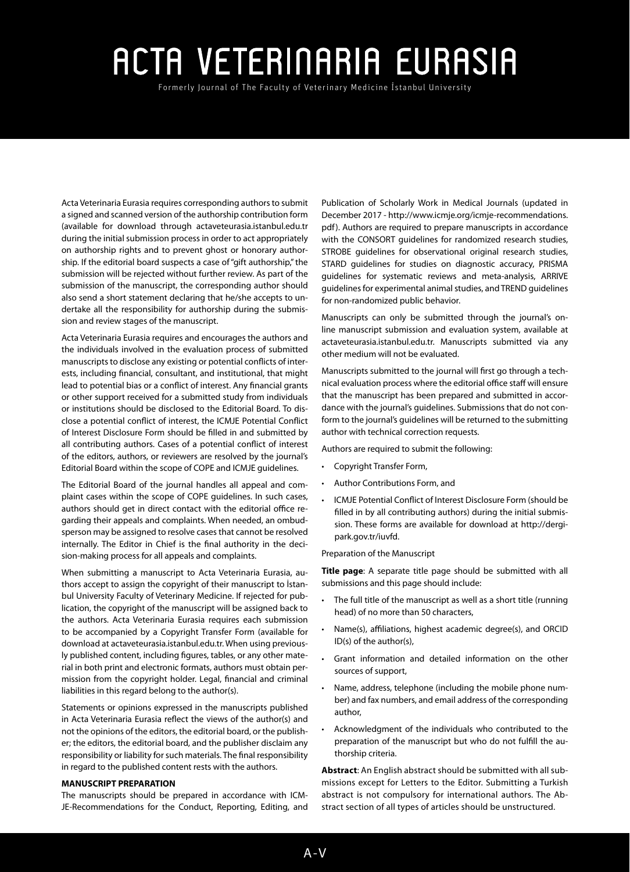Formerly Journal of The Faculty of Veterinary Medicine Istanbul University

Acta Veterinaria Eurasia requires corresponding authors to submit a signed and scanned version of the authorship contribution form (available for download through actaveteurasia.istanbul.edu.tr during the initial submission process in order to act appropriately on authorship rights and to prevent ghost or honorary authorship. If the editorial board suspects a case of "gift authorship," the submission will be rejected without further review. As part of the submission of the manuscript, the corresponding author should also send a short statement declaring that he/she accepts to undertake all the responsibility for authorship during the submission and review stages of the manuscript.

Acta Veterinaria Eurasia requires and encourages the authors and the individuals involved in the evaluation process of submitted manuscripts to disclose any existing or potential conflicts of interests, including financial, consultant, and institutional, that might lead to potential bias or a conflict of interest. Any financial grants or other support received for a submitted study from individuals or institutions should be disclosed to the Editorial Board. To disclose a potential conflict of interest, the ICMJE Potential Conflict of Interest Disclosure Form should be filled in and submitted by all contributing authors. Cases of a potential conflict of interest of the editors, authors, or reviewers are resolved by the journal's Editorial Board within the scope of COPE and ICMJE guidelines.

The Editorial Board of the journal handles all appeal and complaint cases within the scope of COPE guidelines. In such cases, authors should get in direct contact with the editorial office regarding their appeals and complaints. When needed, an ombudsperson may be assigned to resolve cases that cannot be resolved internally. The Editor in Chief is the final authority in the decision-making process for all appeals and complaints.

When submitting a manuscript to Acta Veterinaria Eurasia, authors accept to assign the copyright of their manuscript to İstanbul University Faculty of Veterinary Medicine. If rejected for publication, the copyright of the manuscript will be assigned back to the authors. Acta Veterinaria Eurasia requires each submission to be accompanied by a Copyright Transfer Form (available for download at actaveteurasia.istanbul.edu.tr. When using previously published content, including figures, tables, or any other material in both print and electronic formats, authors must obtain permission from the copyright holder. Legal, financial and criminal liabilities in this regard belong to the author(s).

Statements or opinions expressed in the manuscripts published in Acta Veterinaria Eurasia reflect the views of the author(s) and not the opinions of the editors, the editorial board, or the publisher; the editors, the editorial board, and the publisher disclaim any responsibility or liability for such materials. The final responsibility in regard to the published content rests with the authors.

### **MANUSCRIPT PREPARATION**

The manuscripts should be prepared in accordance with ICM-JE-Recommendations for the Conduct, Reporting, Editing, and Publication of Scholarly Work in Medical Journals (updated in December 2017 - http://www.icmje.org/icmje-recommendations. pdf). Authors are required to prepare manuscripts in accordance with the CONSORT guidelines for randomized research studies, STROBE guidelines for observational original research studies, STARD guidelines for studies on diagnostic accuracy, PRISMA guidelines for systematic reviews and meta-analysis, ARRIVE guidelines for experimental animal studies, and TREND guidelines for non-randomized public behavior.

Manuscripts can only be submitted through the journal's online manuscript submission and evaluation system, available at actaveteurasia.istanbul.edu.tr. Manuscripts submitted via any other medium will not be evaluated.

Manuscripts submitted to the journal will first go through a technical evaluation process where the editorial office staff will ensure that the manuscript has been prepared and submitted in accordance with the journal's guidelines. Submissions that do not conform to the journal's guidelines will be returned to the submitting author with technical correction requests.

Authors are required to submit the following:

- Copyright Transfer Form,
- Author Contributions Form, and
- ICMJE Potential Conflict of Interest Disclosure Form (should be filled in by all contributing authors) during the initial submission. These forms are available for download at http://dergipark.gov.tr/iuvfd.

Preparation of the Manuscript

**Title page**: A separate title page should be submitted with all submissions and this page should include:

- The full title of the manuscript as well as a short title (running head) of no more than 50 characters,
- Name(s), affiliations, highest academic degree(s), and ORCID ID(s) of the author(s),
- Grant information and detailed information on the other sources of support,
- Name, address, telephone (including the mobile phone number) and fax numbers, and email address of the corresponding author,
- Acknowledgment of the individuals who contributed to the preparation of the manuscript but who do not fulfill the authorship criteria.

**Abstract**: An English abstract should be submitted with all submissions except for Letters to the Editor. Submitting a Turkish abstract is not compulsory for international authors. The Abstract section of all types of articles should be unstructured.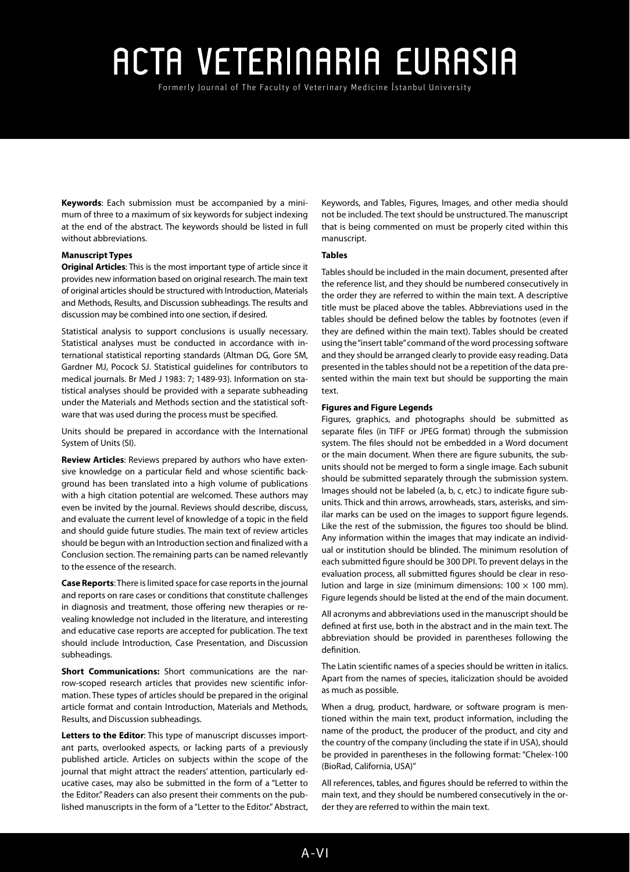Formerly Journal of The Faculty of Veterinary Medicine Istanbul University

**Keywords**: Each submission must be accompanied by a minimum of three to a maximum of six keywords for subject indexing at the end of the abstract. The keywords should be listed in full without abbreviations.

## **Manuscript Types**

**Original Articles**: This is the most important type of article since it provides new information based on original research. The main text of original articles should be structured with Introduction, Materials and Methods, Results, and Discussion subheadings. The results and discussion may be combined into one section, if desired.

Statistical analysis to support conclusions is usually necessary. Statistical analyses must be conducted in accordance with international statistical reporting standards (Altman DG, Gore SM, Gardner MJ, Pocock SJ. Statistical guidelines for contributors to medical journals. Br Med J 1983: 7; 1489-93). Information on statistical analyses should be provided with a separate subheading under the Materials and Methods section and the statistical software that was used during the process must be specified.

Units should be prepared in accordance with the International System of Units (SI).

**Review Articles**: Reviews prepared by authors who have extensive knowledge on a particular field and whose scientific background has been translated into a high volume of publications with a high citation potential are welcomed. These authors may even be invited by the journal. Reviews should describe, discuss, and evaluate the current level of knowledge of a topic in the field and should guide future studies. The main text of review articles should be begun with an Introduction section and finalized with a Conclusion section. The remaining parts can be named relevantly to the essence of the research.

**Case Reports**: There is limited space for case reports in the journal and reports on rare cases or conditions that constitute challenges in diagnosis and treatment, those offering new therapies or revealing knowledge not included in the literature, and interesting and educative case reports are accepted for publication. The text should include Introduction, Case Presentation, and Discussion subheadings.

**Short Communications:** Short communications are the narrow-scoped research articles that provides new scientific information. These types of articles should be prepared in the original article format and contain Introduction, Materials and Methods, Results, and Discussion subheadings.

**Letters to the Editor**: This type of manuscript discusses important parts, overlooked aspects, or lacking parts of a previously published article. Articles on subjects within the scope of the journal that might attract the readers' attention, particularly educative cases, may also be submitted in the form of a "Letter to the Editor." Readers can also present their comments on the published manuscripts in the form of a "Letter to the Editor." Abstract, Keywords, and Tables, Figures, Images, and other media should not be included. The text should be unstructured. The manuscript that is being commented on must be properly cited within this manuscript.

### **Tables**

Tables should be included in the main document, presented after the reference list, and they should be numbered consecutively in the order they are referred to within the main text. A descriptive title must be placed above the tables. Abbreviations used in the tables should be defined below the tables by footnotes (even if they are defined within the main text). Tables should be created using the "insert table" command of the word processing software and they should be arranged clearly to provide easy reading. Data presented in the tables should not be a repetition of the data presented within the main text but should be supporting the main text.

#### **Figures and Figure Legends**

Figures, graphics, and photographs should be submitted as separate files (in TIFF or JPEG format) through the submission system. The files should not be embedded in a Word document or the main document. When there are figure subunits, the subunits should not be merged to form a single image. Each subunit should be submitted separately through the submission system. Images should not be labeled (a, b, c, etc.) to indicate figure subunits. Thick and thin arrows, arrowheads, stars, asterisks, and similar marks can be used on the images to support figure legends. Like the rest of the submission, the figures too should be blind. Any information within the images that may indicate an individual or institution should be blinded. The minimum resolution of each submitted figure should be 300 DPI. To prevent delays in the evaluation process, all submitted figures should be clear in resolution and large in size (minimum dimensions:  $100 \times 100$  mm). Figure legends should be listed at the end of the main document.

All acronyms and abbreviations used in the manuscript should be defined at first use, both in the abstract and in the main text. The abbreviation should be provided in parentheses following the definition.

The Latin scientific names of a species should be written in italics. Apart from the names of species, italicization should be avoided as much as possible.

When a drug, product, hardware, or software program is mentioned within the main text, product information, including the name of the product, the producer of the product, and city and the country of the company (including the state if in USA), should be provided in parentheses in the following format: "Chelex-100 (BioRad, California, USA)"

All references, tables, and figures should be referred to within the main text, and they should be numbered consecutively in the order they are referred to within the main text.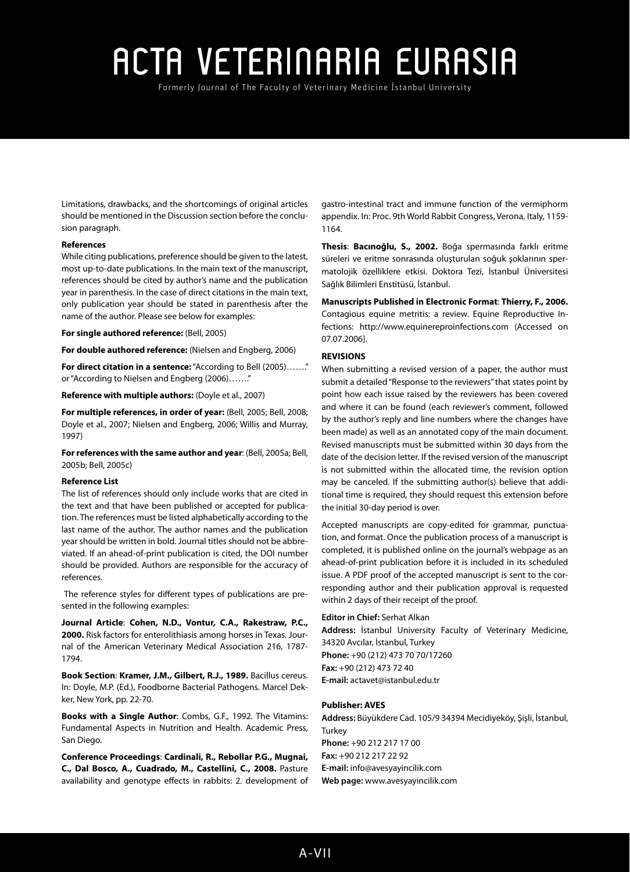Formerly Journal of The Faculty of Veterinary Medicine Istanbul University

Limitations, drawbacks, and the shortcomings of original articles should be mentioned in the Discussion section before the conclusion paragraph.

## **References**

While citing publications, preference should be given to the latest, most up-to-date publications. In the main text of the manuscript, references should be cited by author's name and the publication year in parenthesis. In the case of direct citations in the main text, only publication year should be stated in parenthesis after the name of the author. Please see below for examples:

**For single authored reference:** (Bell, 2005)

**For double authored reference:** (Nielsen and Engberg, 2006)

**For direct citation in a sentence:** "According to Bell (2005)……." or "According to Nielsen and Engberg (2006)……."

**Reference with multiple authors:** (Doyle et al., 2007)

**For multiple references, in order of year:** (Bell, 2005; Bell, 2008; Doyle et al., 2007; Nielsen and Engberg, 2006; Willis and Murray, 1997)

**For references with the same author and year**: (Bell, 2005a; Bell, 2005b; Bell, 2005c)

### **Reference List**

The list of references should only include works that are cited in the text and that have been published or accepted for publication. The references must be listed alphabetically according to the last name of the author. The author names and the publication year should be written in bold. Journal titles should not be abbreviated. If an ahead-of-print publication is cited, the DOI number should be provided. Authors are responsible for the accuracy of references.

 The reference styles for different types of publications are presented in the following examples:

**Journal Article**: **Cohen, N.D., Vontur, C.A., Rakestraw, P.C., 2000.** Risk factors for enterolithiasis among horses in Texas. Journal of the American Veterinary Medical Association 216, 1787- 1794.

**Book Section**: **Kramer, J.M., Gilbert, R.J., 1989.** Bacillus cereus. In: Doyle, M.P. (Ed.), Foodborne Bacterial Pathogens. Marcel Dekker, New York, pp. 22-70.

**Books with a Single Author**: Combs, G.F., 1992. The Vitamins: Fundamental Aspects in Nutrition and Health. Academic Press, San Diego.

**Conference Proceedings**: **Cardinali, R., Rebollar P.G., Mugnai, C., Dal Bosco, A., Cuadrado, M., Castellini, C., 2008.** Pasture availability and genotype effects in rabbits: 2. development of gastro-intestinal tract and immune function of the vermiphorm appendix. In: Proc. 9th World Rabbit Congress, Verona, Italy, 1159- 1164.

**Thesis**: **Bacınoğlu, S., 2002.** Boğa spermasında farklı eritme süreleri ve eritme sonrasında oluşturulan soğuk şoklarının spermatolojik özelliklere etkisi. Doktora Tezi, İstanbul Üniversitesi Sağlık Bilimleri Enstitüsü, İstanbul.

**Manuscripts Published in Electronic Format**: **Thierry, F., 2006.**

Contagious equine metritis: a review. Equine Reproductive Infections: <http://www.equinereproinfections.com>(Accessed on 07.07.2006].

## **REVISIONS**

When submitting a revised version of a paper, the author must submit a detailed "Response to the reviewers" that states point by point how each issue raised by the reviewers has been covered and where it can be found (each reviewer's comment, followed by the author's reply and line numbers where the changes have been made) as well as an annotated copy of the main document. Revised manuscripts must be submitted within 30 days from the date of the decision letter. If the revised version of the manuscript is not submitted within the allocated time, the revision option may be canceled. If the submitting author(s) believe that additional time is required, they should request this extension before the initial 30-day period is over.

Accepted manuscripts are copy-edited for grammar, punctuation, and format. Once the publication process of a manuscript is completed, it is published online on the journal's webpage as an ahead-of-print publication before it is included in its scheduled issue. A PDF proof of the accepted manuscript is sent to the corresponding author and their publication approval is requested within 2 days of their receipt of the proof.

## **Editor in Chief:** Serhat Alkan

**Address:** İstanbul University Faculty of Veterinary Medicine, 34320 Avcılar, İstanbul, Turkey **Phone:** +90 (212) 473 70 70/17260 **Fax:** +90 (212) 473 72 40 **E-mail:** actavet@istanbul.edu.tr

## **Publisher: AVES**

**Address:** Büyükdere Cad. 105/9 34394 Mecidiyeköy, Şişli, İstanbul, Turkey **Phone:** +90 212 217 17 00 **Fax:** +90 212 217 22 92 **E-mail:** [info@avesyayincilik.com](mailto:info@avesyayincilik.com) **Web page:** www.avesyayincilik.com